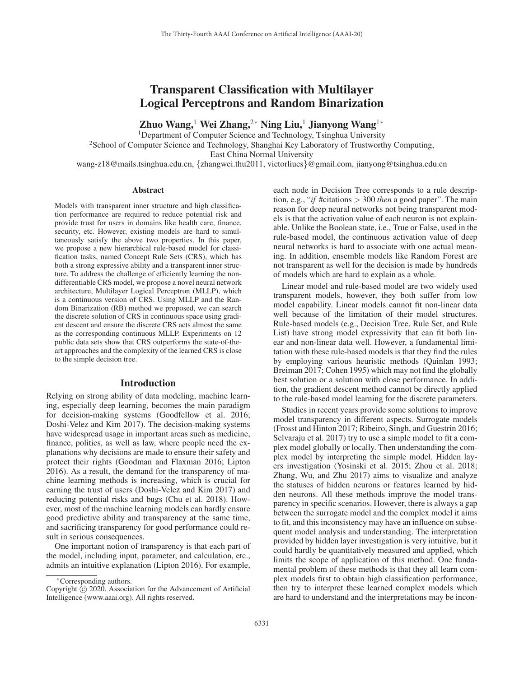# Transparent Classification with Multilayer Logical Perceptrons and Random Binarization

Zhuo Wang,<sup>1</sup> Wei Zhang,<sup>2</sup><sup>∗</sup> Ning Liu,<sup>1</sup> Jianyong Wang<sup>1</sup><sup>∗</sup>

<sup>1</sup>Department of Computer Science and Technology, Tsinghua University

<sup>2</sup>School of Computer Science and Technology, Shanghai Key Laboratory of Trustworthy Computing,

East China Normal University

wang-z18@mails.tsinghua.edu.cn, {zhangwei.thu2011, victorliucs}@gmail.com, jianyong@tsinghua.edu.cn

#### **Abstract**

Models with transparent inner structure and high classification performance are required to reduce potential risk and provide trust for users in domains like health care, finance, security, etc. However, existing models are hard to simultaneously satisfy the above two properties. In this paper, we propose a new hierarchical rule-based model for classification tasks, named Concept Rule Sets (CRS), which has both a strong expressive ability and a transparent inner structure. To address the challenge of efficiently learning the nondifferentiable CRS model, we propose a novel neural network architecture, Multilayer Logical Perceptron (MLLP), which is a continuous version of CRS. Using MLLP and the Random Binarization (RB) method we proposed, we can search the discrete solution of CRS in continuous space using gradient descent and ensure the discrete CRS acts almost the same as the corresponding continuous MLLP. Experiments on 12 public data sets show that CRS outperforms the state-of-theart approaches and the complexity of the learned CRS is close to the simple decision tree.

#### Introduction

Relying on strong ability of data modeling, machine learning, especially deep learning, becomes the main paradigm for decision-making systems (Goodfellow et al. 2016; Doshi-Velez and Kim 2017). The decision-making systems have widespread usage in important areas such as medicine, finance, politics, as well as law, where people need the explanations why decisions are made to ensure their safety and protect their rights (Goodman and Flaxman 2016; Lipton 2016). As a result, the demand for the transparency of machine learning methods is increasing, which is crucial for earning the trust of users (Doshi-Velez and Kim 2017) and reducing potential risks and bugs (Chu et al. 2018). However, most of the machine learning models can hardly ensure good predictive ability and transparency at the same time, and sacrificing transparency for good performance could result in serious consequences.

One important notion of transparency is that each part of the model, including input, parameter, and calculation, etc., admits an intuitive explanation (Lipton 2016). For example, each node in Decision Tree corresponds to a rule description, e.g., "*if* #citations > 300 *then* a good paper". The main reason for deep neural networks not being transparent models is that the activation value of each neuron is not explainable. Unlike the Boolean state, i.e., True or False, used in the rule-based model, the continuous activation value of deep neural networks is hard to associate with one actual meaning. In addition, ensemble models like Random Forest are not transparent as well for the decision is made by hundreds of models which are hard to explain as a whole.

Linear model and rule-based model are two widely used transparent models, however, they both suffer from low model capability. Linear models cannot fit non-linear data well because of the limitation of their model structures. Rule-based models (e.g., Decision Tree, Rule Set, and Rule List) have strong model expressivity that can fit both linear and non-linear data well. However, a fundamental limitation with these rule-based models is that they find the rules by employing various heuristic methods (Quinlan 1993; Breiman 2017; Cohen 1995) which may not find the globally best solution or a solution with close performance. In addition, the gradient descent method cannot be directly applied to the rule-based model learning for the discrete parameters.

Studies in recent years provide some solutions to improve model transparency in different aspects. Surrogate models (Frosst and Hinton 2017; Ribeiro, Singh, and Guestrin 2016; Selvaraju et al. 2017) try to use a simple model to fit a complex model globally or locally. Then understanding the complex model by interpreting the simple model. Hidden layers investigation (Yosinski et al. 2015; Zhou et al. 2018; Zhang, Wu, and Zhu 2017) aims to visualize and analyze the statuses of hidden neurons or features learned by hidden neurons. All these methods improve the model transparency in specific scenarios. However, there is always a gap between the surrogate model and the complex model it aims to fit, and this inconsistency may have an influence on subsequent model analysis and understanding. The interpretation provided by hidden layer investigation is very intuitive, but it could hardly be quantitatively measured and applied, which limits the scope of application of this method. One fundamental problem of these methods is that they all learn complex models first to obtain high classification performance, then try to interpret these learned complex models which are hard to understand and the interpretations may be incon-

<sup>∗</sup>Corresponding authors.

Copyright  $\odot$  2020, Association for the Advancement of Artificial Intelligence (www.aaai.org). All rights reserved.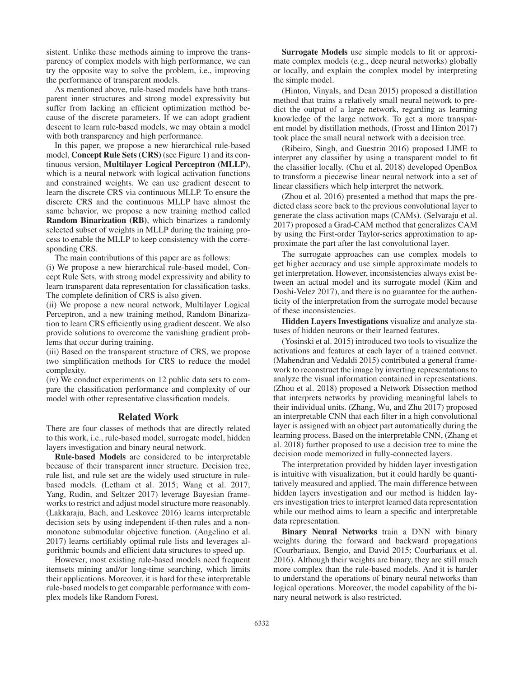sistent. Unlike these methods aiming to improve the transparency of complex models with high performance, we can try the opposite way to solve the problem, i.e., improving the performance of transparent models.

As mentioned above, rule-based models have both transparent inner structures and strong model expressivity but suffer from lacking an efficient optimization method because of the discrete parameters. If we can adopt gradient descent to learn rule-based models, we may obtain a model with both transparency and high performance.

In this paper, we propose a new hierarchical rule-based model, Concept Rule Sets (CRS) (see Figure 1) and its continuous version, Multilayer Logical Perceptron (MLLP), which is a neural network with logical activation functions and constrained weights. We can use gradient descent to learn the discrete CRS via continuous MLLP. To ensure the discrete CRS and the continuous MLLP have almost the same behavior, we propose a new training method called Random Binarization (RB), which binarizes a randomly selected subset of weights in MLLP during the training process to enable the MLLP to keep consistency with the corresponding CRS.

The main contributions of this paper are as follows:

(i) We propose a new hierarchical rule-based model, Concept Rule Sets, with strong model expressivity and ability to learn transparent data representation for classification tasks. The complete definition of CRS is also given.

(ii) We propose a new neural network, Multilayer Logical Perceptron, and a new training method, Random Binarization to learn CRS efficiently using gradient descent. We also provide solutions to overcome the vanishing gradient problems that occur during training.

(iii) Based on the transparent structure of CRS, we propose two simplification methods for CRS to reduce the model complexity.

(iv) We conduct experiments on 12 public data sets to compare the classification performance and complexity of our model with other representative classification models.

#### Related Work

There are four classes of methods that are directly related to this work, i.e., rule-based model, surrogate model, hidden layers investigation and binary neural network.

Rule-based Models are considered to be interpretable because of their transparent inner structure. Decision tree, rule list, and rule set are the widely used structure in rulebased models. (Letham et al. 2015; Wang et al. 2017; Yang, Rudin, and Seltzer 2017) leverage Bayesian frameworks to restrict and adjust model structure more reasonably. (Lakkaraju, Bach, and Leskovec 2016) learns interpretable decision sets by using independent if-then rules and a nonmonotone submodular objective function. (Angelino et al. 2017) learns certifiably optimal rule lists and leverages algorithmic bounds and efficient data structures to speed up.

However, most existing rule-based models need frequent itemsets mining and/or long-time searching, which limits their applications. Moreover, it is hard for these interpretable rule-based models to get comparable performance with complex models like Random Forest.

Surrogate Models use simple models to fit or approximate complex models (e.g., deep neural networks) globally or locally, and explain the complex model by interpreting the simple model.

(Hinton, Vinyals, and Dean 2015) proposed a distillation method that trains a relatively small neural network to predict the output of a large network, regarding as learning knowledge of the large network. To get a more transparent model by distillation methods, (Frosst and Hinton 2017) took place the small neural network with a decision tree.

(Ribeiro, Singh, and Guestrin 2016) proposed LIME to interpret any classifier by using a transparent model to fit the classifier locally. (Chu et al. 2018) developed OpenBox to transform a piecewise linear neural network into a set of linear classifiers which help interpret the network.

(Zhou et al. 2016) presented a method that maps the predicted class score back to the previous convolutional layer to generate the class activation maps (CAMs). (Selvaraju et al. 2017) proposed a Grad-CAM method that generalizes CAM by using the First-order Taylor-series approximation to approximate the part after the last convolutional layer.

The surrogate approaches can use complex models to get higher accuracy and use simple approximate models to get interpretation. However, inconsistencies always exist between an actual model and its surrogate model (Kim and Doshi-Velez 2017), and there is no guarantee for the authenticity of the interpretation from the surrogate model because of these inconsistencies.

Hidden Layers Investigations visualize and analyze statuses of hidden neurons or their learned features.

(Yosinski et al. 2015) introduced two tools to visualize the activations and features at each layer of a trained convnet. (Mahendran and Vedaldi 2015) contributed a general framework to reconstruct the image by inverting representations to analyze the visual information contained in representations. (Zhou et al. 2018) proposed a Network Dissection method that interprets networks by providing meaningful labels to their individual units. (Zhang, Wu, and Zhu 2017) proposed an interpretable CNN that each filter in a high convolutional layer is assigned with an object part automatically during the learning process. Based on the interpretable CNN, (Zhang et al. 2018) further proposed to use a decision tree to mine the decision mode memorized in fully-connected layers.

The interpretation provided by hidden layer investigation is intuitive with visualization, but it could hardly be quantitatively measured and applied. The main difference between hidden layers investigation and our method is hidden layers investigation tries to interpret learned data representation while our method aims to learn a specific and interpretable data representation.

Binary Neural Networks train a DNN with binary weights during the forward and backward propagations (Courbariaux, Bengio, and David 2015; Courbariaux et al. 2016). Although their weights are binary, they are still much more complex than the rule-based models. And it is harder to understand the operations of binary neural networks than logical operations. Moreover, the model capability of the binary neural network is also restricted.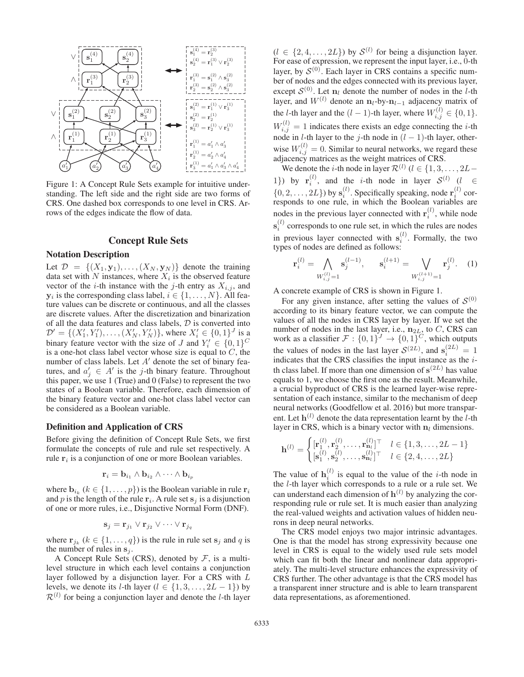

Figure 1: A Concept Rule Sets example for intuitive understanding. The left side and the right side are two forms of CRS. One dashed box corresponds to one level in CRS. Arrows of the edges indicate the flow of data.

## Concept Rule Sets

## Notation Description

Let  $\mathcal{D} = \{(X_1, \mathbf{y}_1), \ldots, (X_N, \mathbf{y}_N)\}\$  denote the training data set with  $N$  instances, where  $X_i$  is the observed feature vector of the *i*-th instance with the *j*-th entry as  $X_{i,j}$ , and  $y_i$  is the corresponding class label,  $i \in \{1, \ldots, N\}$ . All feature values can be discrete or continuous, and all the classes are discrete values. After the discretization and binarization of all the data features and class labels,  $D$  is converted into  $\mathcal{D}' = \{(X'_1, Y'_1), \ldots, (X'_N, Y'_N)\},\$  where  $X'_i \in \{0, 1\}^J$  is a binary feature vector with the size of J and  $Y_i' \in \{0,1\}^C$ is a one-hot class label vector whose size is equal to  $C$ , the number of class labels. Let  $A'$  denote the set of binary features, and  $a'_i \in A'$  is the j-th binary feature. Throughout this paper, we use 1 (True) and 0 (False) to represent the two states of a Boolean variable. Therefore, each dimension of the binary feature vector and one-hot class label vector can be considered as a Boolean variable.

## Definition and Application of CRS

Before giving the definition of Concept Rule Sets, we first formulate the concepts of rule and rule set respectively. A rule  $\mathbf{r}_i$  is a conjunction of one or more Boolean variables.

$$
\mathbf{r}_i = \mathbf{b}_{i_1} \wedge \mathbf{b}_{i_2} \wedge \dots \wedge \mathbf{b}_{i_p}
$$

where  $\mathbf{b}_{i_k}$  ( $k \in \{1, \ldots, p\}$ ) is the Boolean variable in rule  $\mathbf{r}_i$ and p is the length of the rule  $\mathbf{r}_i$ . A rule set  $\mathbf{s}_j$  is a disjunction of one or more rules, i.e., Disjunctive Normal Form (DNF).

$$
\mathbf{s}_j = \mathbf{r}_{j_1} \vee \mathbf{r}_{j_2} \vee \dots \vee \mathbf{r}_{j_q}
$$

where  $\mathbf{r}_{j_k}$  ( $k \in \{1, \ldots, q\}$ ) is the rule in rule set  $\mathbf{s}_j$  and q is the number of rules in  $s_i$ .

A Concept Rule Sets (CRS), denoted by  $F$ , is a multilevel structure in which each level contains a conjunction layer followed by a disjunction layer. For a CRS with L levels, we denote its *l*-th layer ( $l \in \{1, 3, \ldots, 2L - 1\}$ ) by  $\mathcal{R}^{(l)}$  for being a conjunction layer and denote the *l*-th layer  $(l \in \{2, 4, \ldots, 2L\})$  by  $S^{(l)}$  for being a disjunction layer. For ease of expression, we represent the input layer, i.e., 0-th layer, by  $S^{(0)}$ . Each layer in CRS contains a specific number of nodes and the edges connected with its previous layer, except  $S^{(0)}$ . Let  $\mathbf{n}_l$  denote the number of nodes in the *l*-th layer, and  $W^{(l)}$  denote an **n**<sub>l</sub>-by-**n**<sub>l−1</sub> adjacency matrix of the *l*-th layer and the  $(l-1)$ -th layer, where  $W_{i,j}^{(l)} \in \{0,1\}.$  $W_{i,j}^{(l)} = 1$  indicates there exists an edge connecting the *i*-th node in *l*-th layer to the *j*-th node in  $(l - 1)$ -th layer, otherwise  $W_{i,j}^{(l)} = 0$ . Similar to neural networks, we regard these adjacency matrices as the weight matrices of CRS.

We denote the *i*-th node in layer  $\mathcal{R}^{(l)}$  ( $l \in \{1, 3, \ldots, 2L-1\}$ 1}) by  $\mathbf{r}_i^{(l)}$ , and the *i*-th node in layer  $\mathcal{S}^{(l)}$  (l  $\in$  $\{0, 2, \ldots, 2L\}$ ) by  $\mathbf{s}_i^{(l)}$ . Specifically speaking, node  $\mathbf{r}_i^{(l)}$  corresponds to one rule, in which the Boolean variables are nodes in the previous layer connected with  $\mathbf{r}_i^{(l)}$ , while node  $\mathbf{s}_i^{(l)}$  corresponds to one rule set, in which the rules are nodes in previous layer connected with  $s_i^{(l)}$ . Formally, the two types of nodes are defined as follows:

$$
\mathbf{r}_{i}^{(l)} = \bigwedge_{W_{i,j}^{(l)}=1} \mathbf{s}_{j}^{(l-1)}, \qquad \mathbf{s}_{i}^{(l+1)} = \bigvee_{W_{i,j}^{(l+1)}=1} \mathbf{r}_{j}^{(l)}.
$$
 (1)

A concrete example of CRS is shown in Figure 1.

For any given instance, after setting the values of  $\mathcal{S}^{(0)}$ according to its binary feature vector, we can compute the values of all the nodes in CRS layer by layer. If we set the number of nodes in the last layer, i.e.,  $n_{2L}$ , to C, CRS can work as a classifier  $\mathcal{F} : \{0,1\}^J \to \{0,1\}^C$ , which outputs the values of nodes in the last layer  $S^{(2L)}$ , and  $s_i^{(2L)} = 1$ indicates that the CRS classifies the input instance as the ith class label. If more than one dimension of  $s^{(2L)}$  has value equals to 1, we choose the first one as the result. Meanwhile, a crucial byproduct of CRS is the learned layer-wise representation of each instance, similar to the mechanism of deep neural networks (Goodfellow et al. 2016) but more transparent. Let  $\mathbf{h}^{(l)}$  denote the data representation learnt by the *l*-th layer in CRS, which is a binary vector with  $n_l$  dimensions.

$$
\mathbf{h}^{(l)} = \begin{cases} [\mathbf{r}_1^{(l)}, \mathbf{r}_2^{(l)}, \dots, \mathbf{r}_{\mathbf{n}_l}^{(l)}]^\top & l \in \{1, 3, \dots, 2L - 1\} \\ [\mathbf{s}_1^{(l)}, \mathbf{s}_2^{(l)}, \dots, \mathbf{s}_{\mathbf{n}_l}^{(l)}]^\top & l \in \{2, 4, \dots, 2L\} \end{cases}
$$

The value of  $\mathbf{h}_i^{(l)}$  is equal to the value of the *i*-th node in the l-th layer which corresponds to a rule or a rule set. We can understand each dimension of  $h^{(l)}$  by analyzing the corresponding rule or rule set. It is much easier than analyzing the real-valued weights and activation values of hidden neurons in deep neural networks.

The CRS model enjoys two major intrinsic advantages. One is that the model has strong expressivity because one level in CRS is equal to the widely used rule sets model which can fit both the linear and nonlinear data appropriately. The multi-level structure enhances the expressivity of CRS further. The other advantage is that the CRS model has a transparent inner structure and is able to learn transparent data representations, as aforementioned.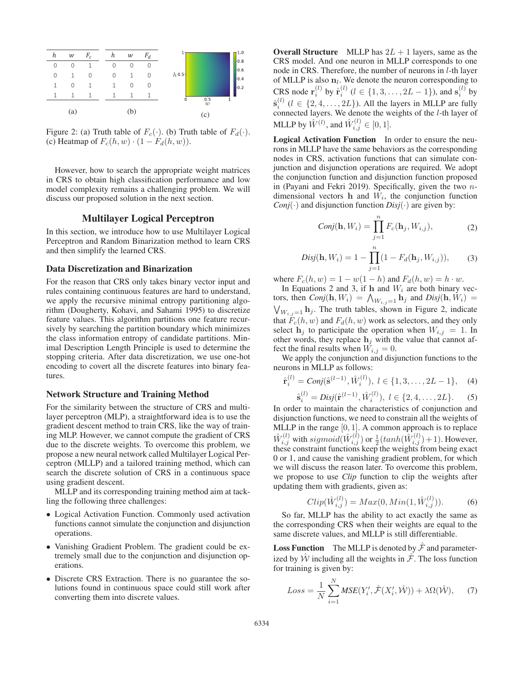

Figure 2: (a) Truth table of  $F_c(\cdot)$ . (b) Truth table of  $F_d(\cdot)$ . (c) Heatmap of  $F_c(h, w) \cdot (1 - F_d(h, w))$ .

However, how to search the appropriate weight matrices in CRS to obtain high classification performance and low model complexity remains a challenging problem. We will discuss our proposed solution in the next section.

#### Multilayer Logical Perceptron

In this section, we introduce how to use Multilayer Logical Perceptron and Random Binarization method to learn CRS and then simplify the learned CRS.

#### Data Discretization and Binarization

For the reason that CRS only takes binary vector input and rules containing continuous features are hard to understand, we apply the recursive minimal entropy partitioning algorithm (Dougherty, Kohavi, and Sahami 1995) to discretize feature values. This algorithm partitions one feature recursively by searching the partition boundary which minimizes the class information entropy of candidate partitions. Minimal Description Length Principle is used to determine the stopping criteria. After data discretization, we use one-hot encoding to covert all the discrete features into binary features.

#### Network Structure and Training Method

For the similarity between the structure of CRS and multilayer perceptron (MLP), a straightforward idea is to use the gradient descent method to train CRS, like the way of training MLP. However, we cannot compute the gradient of CRS due to the discrete weights. To overcome this problem, we propose a new neural network called Multilayer Logical Perceptron (MLLP) and a tailored training method, which can search the discrete solution of CRS in a continuous space using gradient descent.

MLLP and its corresponding training method aim at tackling the following three challenges:

- Logical Activation Function. Commonly used activation functions cannot simulate the conjunction and disjunction operations.
- Vanishing Gradient Problem. The gradient could be extremely small due to the conjunction and disjunction operations.
- Discrete CRS Extraction. There is no guarantee the solutions found in continuous space could still work after converting them into discrete values.

**Overall Structure** MLLP has  $2L + 1$  layers, same as the CRS model. And one neuron in MLLP corresponds to one node in CRS. Therefore, the number of neurons in l-th layer of MLLP is also  $n_l$ . We denote the neuron corresponding to CRS node  $\mathbf{r}_i^{(l)}$  by  $\hat{\mathbf{r}}_i^{(l)}$  ( $l \in \{1, 3, ..., 2L - 1\}$ ), and  $\mathbf{s}_i^{(l)}$  by  $\hat{\mathbf{s}}_i^{(l)}$  ( $l \in \{2, 4, \ldots, 2L\}$ ). All the layers in MLLP are fully connected layers. We denote the weights of the l-th layer of MLLP by  $\hat{W}^{(l)}$ , and  $\hat{W}_{i,j}^{(l)} \in [0,1]$ .

Logical Activation Function In order to ensure the neurons in MLLP have the same behaviors as the corresponding nodes in CRS, activation functions that can simulate conjunction and disjunction operations are required. We adopt the conjunction function and disjunction function proposed in (Payani and Fekri 2019). Specifically, given the two  $n$ dimensional vectors **h** and  $W_i$ , the conjunction function  $Conj(\cdot)$  and disjunction function  $Disj(\cdot)$  are given by:

$$
Conj(\mathbf{h}, W_i) = \prod_{j=1}^{n} F_c(\mathbf{h}_j, W_{i,j}),
$$
 (2)

$$
Disj(\mathbf{h}, W_i) = 1 - \prod_{j=1}^{n} (1 - F_d(\mathbf{h}_j, W_{i,j})),
$$
 (3)

where  $F_c(h, w) = 1 - w(1 - h)$  and  $F_d(h, w) = h \cdot w$ .

In Equations 2 and 3, if **h** and  $W_i$  are both binary vectors, then  $\textit{Conj}(\mathbf{h}, W_i) = \bigwedge_{W_{i,j} = 1} \mathbf{h}_j$  and  $\textit{Disj}(\mathbf{h}, W_i) =$  $V_{W_{i,j}=1}$  **h**<sub>j</sub>. The truth tables, shown in Figure 2, indicate that  $F_c(h, w)$  and  $F_d(h, w)$  work as selectors, and they only select  $h_j$  to participate the operation when  $W_{i,j} = 1$ . In other words, they replace  $h_j$  with the value that cannot affect the final results when  $W_{i,j} = 0$ .

We apply the conjunction and disjunction functions to the neurons in MLLP as follows:

$$
\hat{\mathbf{r}}_i^{(l)} = \text{Conj}(\hat{\mathbf{s}}^{(l-1)}, \hat{W}_i^{(l)}), \ l \in \{1, 3, \dots, 2L - 1\}, \quad (4)
$$
\n
$$
\hat{\mathbf{s}}^{(l)} = \text{Disj}(\hat{\mathbf{s}}^{(l-1)}, \hat{\mathbf{u}}^{(l)}), \ l \in \{9, 4, \dots, 2L\}
$$

$$
\hat{\mathbf{s}}_i^{(l)} = Disj(\hat{\mathbf{r}}^{(l-1)}, \hat{W}_i^{(l)}), l \in \{2, 4, ..., 2L\}.
$$
\nIn order to maintain the characteristics of conjunction and

disjunction functions, we need to constrain all the weights of MLLP in the range  $[0, 1]$ . A common approach is to replace  $\hat{W}_{i,j}^{(l)}$  with  $sigmoid(\hat{W}_{i,j}^{(l)})$  or  $\frac{1}{2}(tanh(\hat{W}_{i,j}^{(l)})+1)$ . However, these constraint functions keep the weights from being exact 0 or 1, and cause the vanishing gradient problem, for which we will discuss the reason later. To overcome this problem, we propose to use *Clip* function to clip the weights after updating them with gradients, given as:

$$
Clip(\hat{W}_{i,j}^{(l)}) = Max(0, Min(1, \hat{W}_{i,j}^{(l)})).
$$
 (6)

So far, MLLP has the ability to act exactly the same as the corresponding CRS when their weights are equal to the same discrete values, and MLLP is still differentiable.

**Loss Function** The MLLP is denoted by  $\hat{\mathcal{F}}$  and parameterized by  $\hat{W}$  including all the weights in  $\hat{\mathcal{F}}$ . The loss function for training is given by:

$$
Loss = \frac{1}{N} \sum_{i=1}^{N} MSE(Y_i', \hat{\mathcal{F}}(X_i', \hat{\mathcal{W}})) + \lambda \Omega(\hat{\mathcal{W}}), \quad (7)
$$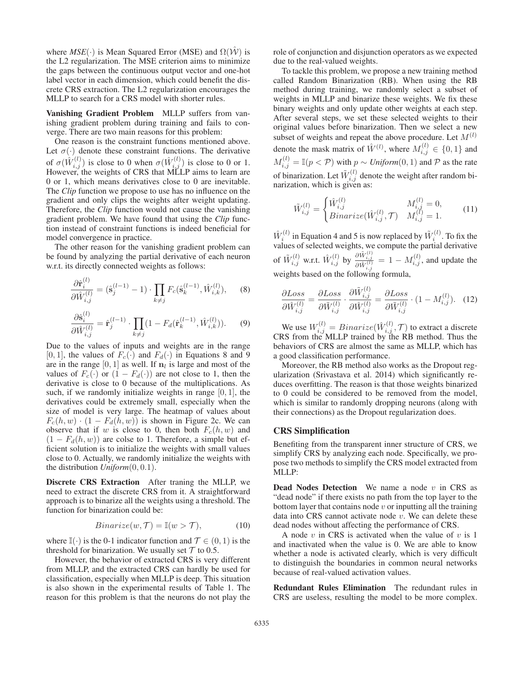where  $MSE(\cdot)$  is Mean Squared Error (MSE) and  $\Omega(\hat{W})$  is the L2 regularization. The MSE criterion aims to minimize the gaps between the continuous output vector and one-hot label vector in each dimension, which could benefit the discrete CRS extraction. The L2 regularization encourages the MLLP to search for a CRS model with shorter rules.

Vanishing Gradient Problem MLLP suffers from vanishing gradient problem during training and fails to converge. There are two main reasons for this problem:

One reason is the constraint functions mentioned above. Let  $\sigma(\cdot)$  denote these constraint functions. The derivative of  $\sigma(\hat{W}_{i,j}^{(l)})$  is close to 0 when  $\sigma(\hat{W}_{i,j}^{(l)})$  is close to 0 or 1. However, the weights of CRS that MLLP aims to learn are 0 or 1, which means derivatives close to 0 are inevitable. The *Clip* function we propose to use has no influence on the gradient and only clips the weights after weight updating. Therefore, the *Clip* function would not cause the vanishing gradient problem. We have found that using the *Clip* function instead of constraint functions is indeed beneficial for model convergence in practice.

The other reason for the vanishing gradient problem can be found by analyzing the partial derivative of each neuron w.r.t. its directly connected weights as follows:

 $\langle \rangle$ 

$$
\frac{\partial \hat{\mathbf{r}}_i^{(l)}}{\partial \hat{W}_{i,j}^{(l)}} = (\hat{\mathbf{s}}_j^{(l-1)} - 1) \cdot \prod_{k \neq j} F_c(\hat{\mathbf{s}}_k^{(l-1)}, \hat{W}_{i,k}^{(l)}), \qquad (8)
$$

$$
\frac{\partial \hat{\mathbf{s}}_i^{(l)}}{\partial \hat{W}_{i,j}^{(l)}} = \hat{\mathbf{r}}_j^{(l-1)} \cdot \prod_{k \neq j} (1 - F_d(\hat{\mathbf{r}}_k^{(l-1)}, \hat{W}_{i,k}^{(l)})).
$$
 (9)

Due to the values of inputs and weights are in the range [0, 1], the values of  $F_c(\cdot)$  and  $F_d(\cdot)$  in Equations 8 and 9 are in the range  $[0, 1]$  as well. If  $n_l$  is large and most of the values of  $F_c(\cdot)$  or  $(1 - F_d(\cdot))$  are not close to 1, then the derivative is close to 0 because of the multiplications. As such, if we randomly initialize weights in range  $[0, 1]$ , the derivatives could be extremely small, especially when the size of model is very large. The heatmap of values about  $F_c(h, w) \cdot (1 - F_d(h, w))$  is shown in Figure 2c. We can observe that if w is close to 0, then both  $F_c(h, w)$  and  $(1 - F_d(h, w))$  are colse to 1. Therefore, a simple but efficient solution is to initialize the weights with small values close to 0. Actually, we randomly initialize the weights with the distribution *Uniform*(0, 0.1).

Discrete CRS Extraction After traning the MLLP, we need to extract the discrete CRS from it. A straightforward approach is to binarize all the weights using a threshold. The function for binarization could be:

$$
Binarize(w, \mathcal{T}) = \mathbb{I}(w > \mathcal{T}), \tag{10}
$$

where  $\mathbb{I}(\cdot)$  is the 0-1 indicator function and  $\mathcal{T} \in (0, 1)$  is the threshold for binarization. We usually set  $T$  to 0.5.

However, the behavior of extracted CRS is very different from MLLP, and the extracted CRS can hardly be used for classification, especially when MLLP is deep. This situation is also shown in the experimental results of Table 1. The reason for this problem is that the neurons do not play the role of conjunction and disjunction operators as we expected due to the real-valued weights.

To tackle this problem, we propose a new training method called Random Binarization (RB). When using the RB method during training, we randomly select a subset of weights in MLLP and binarize these weights. We fix these binary weights and only update other weights at each step. After several steps, we set these selected weights to their original values before binarization. Then we select a new subset of weights and repeat the above procedure. Let  $M^{(l)}$ denote the mask matrix of  $\hat{W}^{(l)}$ , where  $M_{i,j}^{(l)} \in \{0,1\}$  and  $M_{i,j}^{(l)} = \mathbb{I}(p < \mathcal{P})$  with  $p \sim Uniform(0, 1)$  and  $\mathcal P$  as the rate of binarization. Let  $\tilde{W}_{i,j}^{(l)}$  denote the weight after random binarization, which is given as:

$$
\tilde{W}_{i,j}^{(l)} = \begin{cases}\n\hat{W}_{i,j}^{(l)} & M_{i,j}^{(l)} = 0, \\
\hat{B}inarize(\hat{W}_{i,j}^{(l)}, \mathcal{T}) & M_{i,j}^{(l)} = 1.\n\end{cases}
$$
\n(11)

 $\hat{W}_i^{(l)}$  in Equation 4 and 5 is now replaced by  $\tilde{W}_i^{(l)}$ . To fix the values of selected weights, we compute the partial derivative of  $\tilde{W}_{i,j}^{(l)}$  w.r.t.  $\hat{W}_{i,j}^{(l)}$  by  $\frac{\partial \tilde{W}_{i,j}^{(l)}}{\partial \hat{W}_{i,j}^{(l)}} = 1 - M_{i,j}^{(l)}$ , and update the weights based on the following formula,

$$
\frac{\partial Loss}{\partial \hat{W}_{i,j}^{(l)}} = \frac{\partial Loss}{\partial \tilde{W}_{i,j}^{(l)}} \cdot \frac{\partial \tilde{W}_{i,j}^{(l)}}{\partial \hat{W}_{i,j}^{(l)}} = \frac{\partial Loss}{\partial \tilde{W}_{i,j}^{(l)}} \cdot (1 - M_{i,j}^{(l)}). \quad (12)
$$

We use  $W_{i,j}^{(l)} = Binarize(\hat{W}_{i,j}^{(l)}, \mathcal{T})$  to extract a discrete CRS from the MLLP trained by the RB method. Thus the behaviors of CRS are almost the same as MLLP, which has a good classification performance.

Moreover, the RB method also works as the Dropout regularization (Srivastava et al. 2014) which significantly reduces overfitting. The reason is that those weights binarized to 0 could be considered to be removed from the model, which is similar to randomly dropping neurons (along with their connections) as the Dropout regularization does.

#### CRS Simplification

Benefiting from the transparent inner structure of CRS, we simplify CRS by analyzing each node. Specifically, we propose two methods to simplify the CRS model extracted from MLLP:

**Dead Nodes Detection** We name a node  $v$  in CRS as "dead node" if there exists no path from the top layer to the bottom layer that contains node  $v$  or inputting all the training data into CRS cannot activate node  $v$ . We can delete these dead nodes without affecting the performance of CRS.

A node  $v$  in CRS is activated when the value of  $v$  is 1 and inactivated when the value is 0. We are able to know whether a node is activated clearly, which is very difficult to distinguish the boundaries in common neural networks because of real-valued activation values.

Redundant Rules Elimination The redundant rules in CRS are useless, resulting the model to be more complex.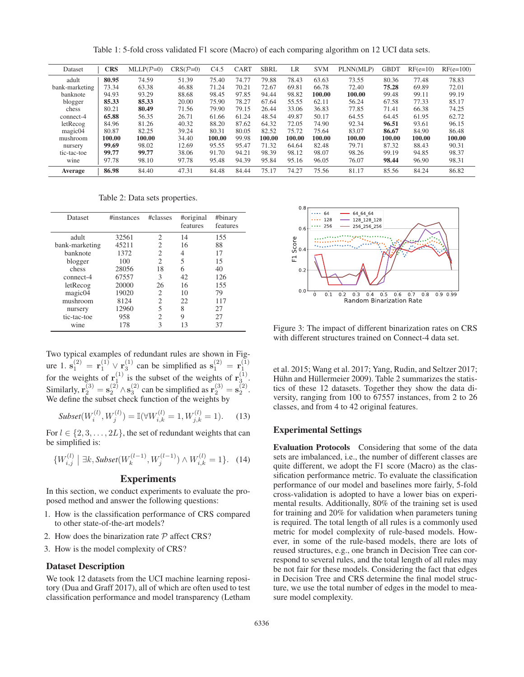Table 1: 5-fold cross validated F1 score (Macro) of each comparing algorithm on 12 UCI data sets.

| Dataset        | <b>CRS</b> | $MLLP(P=0)$ | $CRS(\mathcal{P}=0)$ | C4.5   | <b>CART</b> | <b>SBRL</b> | LR     | <b>SVM</b> | PLNN(MLP) | <b>GBDT</b> | $RF(e=10)$ | $RF(e=100)$ |
|----------------|------------|-------------|----------------------|--------|-------------|-------------|--------|------------|-----------|-------------|------------|-------------|
| adult          | 80.95      | 74.59       | 51.39                | 75.40  | 74.77       | 79.88       | 78.43  | 63.63      | 73.55     | 80.36       | 77.48      | 78.83       |
| bank-marketing | 73.34      | 63.38       | 46.88                | 71.24  | 70.21       | 72.67       | 69.81  | 66.78      | 72.40     | 75.28       | 69.89      | 72.01       |
| banknote       | 94.93      | 93.29       | 88.68                | 98.45  | 97.85       | 94.44       | 98.82  | 100.00     | 100.00    | 99.48       | 99.11      | 99.19       |
| blogger        | 85.33      | 85.33       | 20.00                | 75.90  | 78.27       | 67.64       | 55.55  | 62.11      | 56.24     | 67.58       | 77.33      | 85.17       |
| chess          | 80.21      | 80.49       | 71.56                | 79.90  | 79.15       | 26.44       | 33.06  | 36.83      | 77.85     | 71.41       | 66.38      | 74.25       |
| connect-4      | 65.88      | 56.35       | 26.71                | 61.66  | 61.24       | 48.54       | 49.87  | 50.17      | 64.55     | 64.45       | 61.95      | 62.72       |
| letRecog       | 84.96      | 81.26       | 40.32                | 88.20  | 87.62       | 64.32       | 72.05  | 74.90      | 92.34     | 96.51       | 93.61      | 96.15       |
| magic04        | 80.87      | 82.25       | 39.24                | 80.31  | 80.05       | 82.52       | 75.72  | 75.64      | 83.07     | 86.67       | 84.90      | 86.48       |
| mushroom       | 100.00     | 100.00      | 34.40                | 100.00 | 99.98       | 100.00      | 100.00 | 100.00     | 100.00    | 100.00      | 100.00     | 100.00      |
| nursery        | 99.69      | 98.02       | 12.69                | 95.55  | 95.47       | 71.32       | 64.64  | 82.48      | 79.71     | 87.32       | 88.43      | 90.31       |
| tic-tac-toe    | 99.77      | 99.77       | 38.06                | 91.70  | 94.21       | 98.39       | 98.12  | 98.07      | 98.26     | 99.19       | 94.85      | 98.37       |
| wine           | 97.78      | 98.10       | 97.78                | 95.48  | 94.39       | 95.84       | 95.16  | 96.05      | 76.07     | 98.44       | 96.90      | 98.31       |
| Average        | 86.98      | 84.40       | 47.31                | 84.48  | 84.44       | 75.17       | 74.27  | 75.56      | 81.17     | 85.56       | 84.24      | 86.82       |

Table 2: Data sets properties.

| Dataset        | #instances | #classes       | #original<br>features | #binary<br>features |  |
|----------------|------------|----------------|-----------------------|---------------------|--|
| adult          | 32561      | 2              | 14                    | 155                 |  |
| bank-marketing | 45211      | 2              | 16                    | 88                  |  |
| banknote       | 1372       | 2              | 4                     | 17                  |  |
| blogger        | 100        | 2              | 5                     | 15                  |  |
| chess          | 28056      | 18             | 6                     | 40                  |  |
| connect-4      | 67557      | 3              | 42                    | 126                 |  |
| letRecog       | 20000      | 26             | 16                    | 155                 |  |
| magic04        | 19020      | $\overline{c}$ | 10                    | 79                  |  |
| mushroom       | 8124       | 2              | 22                    | 117                 |  |
| nursery        | 12960      | 5              | 8                     | 27                  |  |
| tic-tac-toe    | 958        | 2              | 9                     | 27                  |  |
| wine           | 178        | 3              | 13                    | 37                  |  |

Two typical examples of redundant rules are shown in Figure 1.  $\mathbf{s}_1^{(2)} = \mathbf{r}_1^{(1)} \vee \mathbf{r}_3^{(1)}$  can be simplified as  $\mathbf{s}_1^{(2)} = \mathbf{r}_1^{(1)}$ for the weights of  $\mathbf{r}_1^{(1)}$  is the subset of the weights of  $\mathbf{r}_3^{(1)}$ . Similarly,  $\mathbf{r}_2^{(3)} = \mathbf{s}_2^{(2)} \wedge \mathbf{s}_3^{(2)}$  can be simplified as  $\mathbf{r}_2^{(3)} = \mathbf{s}_2^{(2)}$ . We define the subset check function of the weights by

$$
Subset(W_i^{(l)}, W_j^{(l)}) = \mathbb{I}(\forall W_{i,k}^{(l)} = 1, W_{j,k}^{(l)} = 1).
$$
 (13)

For  $l \in \{2, 3, \ldots, 2L\}$ , the set of redundant weights that can be simplified is:

$$
\{W_{i,j}^{(l)} \mid \exists k, \text{Subset}(W_k^{(l-1)}, W_j^{(l-1)}) \land W_{i,k}^{(l)} = 1\}. \tag{14}
$$

## Experiments

In this section, we conduct experiments to evaluate the proposed method and answer the following questions:

- 1. How is the classification performance of CRS compared to other state-of-the-art models?
- 2. How does the binarization rate  $P$  affect CRS?
- 3. How is the model complexity of CRS?

#### Dataset Description

We took 12 datasets from the UCI machine learning repository (Dua and Graff 2017), all of which are often used to test classification performance and model transparency (Letham



Figure 3: The impact of different binarization rates on CRS with different structures trained on Connect-4 data set.

et al. 2015; Wang et al. 2017; Yang, Rudin, and Seltzer 2017; Hühn and Hüllermeier 2009). Table 2 summarizes the statistics of these 12 datasets. Together they show the data diversity, ranging from 100 to 67557 instances, from 2 to 26 classes, and from 4 to 42 original features.

### Experimental Settings

Evaluation Protocols Considering that some of the data sets are imbalanced, i.e., the number of different classes are quite different, we adopt the F1 score (Macro) as the classification performance metric. To evaluate the classification performance of our model and baselines more fairly, 5-fold cross-validation is adopted to have a lower bias on experimental results. Additionally, 80% of the training set is used for training and 20% for validation when parameters tuning is required. The total length of all rules is a commonly used metric for model complexity of rule-based models. However, in some of the rule-based models, there are lots of reused structures, e.g., one branch in Decision Tree can correspond to several rules, and the total length of all rules may be not fair for these models. Considering the fact that edges in Decision Tree and CRS determine the final model structure, we use the total number of edges in the model to measure model complexity.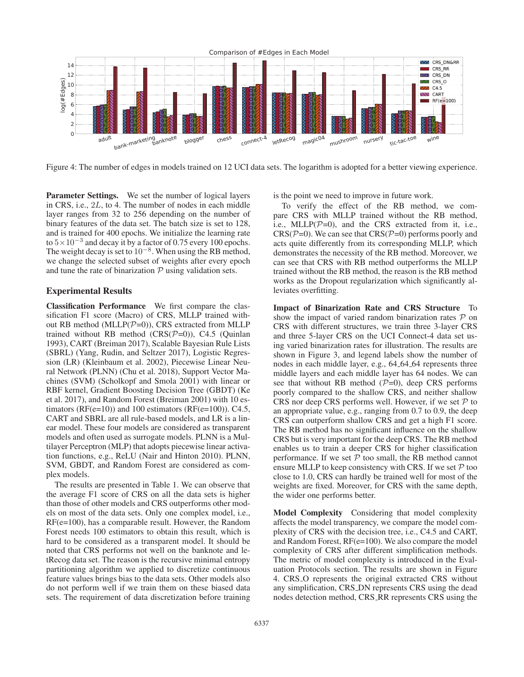![](_page_6_Figure_0.jpeg)

Figure 4: The number of edges in models trained on 12 UCI data sets. The logarithm is adopted for a better viewing experience.

Parameter Settings. We set the number of logical layers in CRS, i.e., 2L, to 4. The number of nodes in each middle layer ranges from 32 to 256 depending on the number of binary features of the data set. The batch size is set to 128, and is trained for 400 epochs. We initialize the learning rate to  $5 \times 10^{-3}$  and decay it by a factor of 0.75 every 100 epochs. The weight decay is set to  $10^{-8}$ . When using the RB method, we change the selected subset of weights after every epoch and tune the rate of binarization  $P$  using validation sets.

## Experimental Results

Classification Performance We first compare the classification F1 score (Macro) of CRS, MLLP trained without RB method (MLLP $(P=0)$ ), CRS extracted from MLLP trained without RB method  $(CRS(\mathcal{P}=0))$ , C4.5 (Quinlan 1993), CART (Breiman 2017), Scalable Bayesian Rule Lists (SBRL) (Yang, Rudin, and Seltzer 2017), Logistic Regression (LR) (Kleinbaum et al. 2002), Piecewise Linear Neural Network (PLNN) (Chu et al. 2018), Support Vector Machines (SVM) (Scholkopf and Smola 2001) with linear or RBF kernel, Gradient Boosting Decision Tree (GBDT) (Ke et al. 2017), and Random Forest (Breiman 2001) with 10 estimators ( $RF(e=10)$ ) and 100 estimators ( $RF(e=100)$ ). C4.5, CART and SBRL are all rule-based models, and LR is a linear model. These four models are considered as transparent models and often used as surrogate models. PLNN is a Multilayer Perceptron (MLP) that adopts piecewise linear activation functions, e.g., ReLU (Nair and Hinton 2010). PLNN, SVM, GBDT, and Random Forest are considered as complex models.

The results are presented in Table 1. We can observe that the average F1 score of CRS on all the data sets is higher than those of other models and CRS outperforms other models on most of the data sets. Only one complex model, i.e., RF(e=100), has a comparable result. However, the Random Forest needs 100 estimators to obtain this result, which is hard to be considered as a transparent model. It should be noted that CRS performs not well on the banknote and letRecog data set. The reason is the recursive minimal entropy partitioning algorithm we applied to discretize continuous feature values brings bias to the data sets. Other models also do not perform well if we train them on these biased data sets. The requirement of data discretization before training is the point we need to improve in future work.

To verify the effect of the RB method, we compare CRS with MLLP trained without the RB method, i.e., MLLP $(P=0)$ , and the CRS extracted from it, i.e.,  $CRS(\mathcal{P}=0)$ . We can see that  $CRS(\mathcal{P}=0)$  performs poorly and acts quite differently from its corresponding MLLP, which demonstrates the necessity of the RB method. Moreover, we can see that CRS with RB method outperforms the MLLP trained without the RB method, the reason is the RB method works as the Dropout regularization which significantly alleviates overfitting.

Impact of Binarization Rate and CRS Structure To show the impact of varied random binarization rates  $P$  on CRS with different structures, we train three 3-layer CRS and three 5-layer CRS on the UCI Connect-4 data set using varied binarization rates for illustration. The results are shown in Figure 3, and legend labels show the number of nodes in each middle layer, e.g., 64<sub>-64-64</sub> represents three middle layers and each middle layer has 64 nodes. We can see that without RB method  $(\mathcal{P}=0)$ , deep CRS performs poorly compared to the shallow CRS, and neither shallow CRS nor deep CRS performs well. However, if we set  $P$  to an appropriate value, e.g., ranging from 0.7 to 0.9, the deep CRS can outperform shallow CRS and get a high F1 score. The RB method has no significant influence on the shallow CRS but is very important for the deep CRS. The RB method enables us to train a deeper CRS for higher classification performance. If we set  $P$  too small, the RB method cannot ensure MLLP to keep consistency with CRS. If we set  $P$  too close to 1.0, CRS can hardly be trained well for most of the weights are fixed. Moreover, for CRS with the same depth, the wider one performs better.

Model Complexity Considering that model complexity affects the model transparency, we compare the model complexity of CRS with the decision tree, i.e., C4.5 and CART, and Random Forest, RF(e=100). We also compare the model complexity of CRS after different simplification methods. The metric of model complexity is introduced in the Evaluation Protocols section. The results are shown in Figure 4. CRS O represents the original extracted CRS without any simplification, CRS DN represents CRS using the dead nodes detection method, CRS\_RR represents CRS using the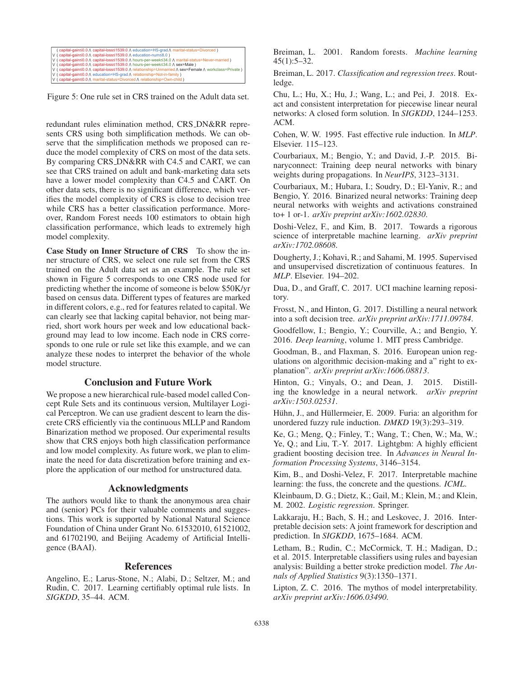| (capital-gain≤0.0 A capital-loss≤1539.0 A education=HS-grad A marital-status=Divorced)               |
|------------------------------------------------------------------------------------------------------|
| V ( capital-gain≤0.0 A capital-loss≤1539.0 A education-num≤8.0 )                                     |
| V (capital-gain≤0.0 A capital-loss≤1539.0 A hours-per-week≤34.0 A marital-status=Never-married)      |
| V (capital-gain≤0.0 \ capital-loss≤1539.0 \ hours-per-week≤34.0 \ sex=Male)                          |
| V (capital-gain≤0.0 A capital-loss≤1539.0 A relationship=Unmarried A sex=Female A workclass=Private) |
| V (capital-gain≤0.0 A education=HS-grad A relationship=Not-in-family)                                |
| V ( capital-gain≤0.0 A marital-status=Divorced A relationship=Own-child )                            |

Figure 5: One rule set in CRS trained on the Adult data set.

redundant rules elimination method, CRS DN&RR represents CRS using both simplification methods. We can observe that the simplification methods we proposed can reduce the model complexity of CRS on most of the data sets. By comparing CRS DN&RR with C4.5 and CART, we can see that CRS trained on adult and bank-marketing data sets have a lower model complexity than C4.5 and CART. On other data sets, there is no significant difference, which verifies the model complexity of CRS is close to decision tree while CRS has a better classification performance. Moreover, Random Forest needs 100 estimators to obtain high classification performance, which leads to extremely high model complexity.

Case Study on Inner Structure of CRS To show the inner structure of CRS, we select one rule set from the CRS trained on the Adult data set as an example. The rule set shown in Figure 5 corresponds to one CRS node used for predicting whether the income of someone is below \$50K/yr based on census data. Different types of features are marked in different colors, e.g., red for features related to capital. We can clearly see that lacking capital behavior, not being married, short work hours per week and low educational background may lead to low income. Each node in CRS corresponds to one rule or rule set like this example, and we can analyze these nodes to interpret the behavior of the whole model structure.

## Conclusion and Future Work

We propose a new hierarchical rule-based model called Concept Rule Sets and its continuous version, Multilayer Logical Perceptron. We can use gradient descent to learn the discrete CRS efficiently via the continuous MLLP and Random Binarization method we proposed. Our experimental results show that CRS enjoys both high classification performance and low model complexity. As future work, we plan to eliminate the need for data discretization before training and explore the application of our method for unstructured data.

## Acknowledgments

The authors would like to thank the anonymous area chair and (senior) PCs for their valuable comments and suggestions. This work is supported by National Natural Science Foundation of China under Grant No. 61532010, 61521002, and 61702190, and Beijing Academy of Artificial Intelligence (BAAI).

## References

Angelino, E.; Larus-Stone, N.; Alabi, D.; Seltzer, M.; and Rudin, C. 2017. Learning certifiably optimal rule lists. In *SIGKDD*, 35–44. ACM.

Breiman, L. 2001. Random forests. *Machine learning* 45(1):5–32.

Breiman, L. 2017. *Classification and regression trees*. Routledge.

Chu, L.; Hu, X.; Hu, J.; Wang, L.; and Pei, J. 2018. Exact and consistent interpretation for piecewise linear neural networks: A closed form solution. In *SIGKDD*, 1244–1253. ACM.

Cohen, W. W. 1995. Fast effective rule induction. In *MLP*. Elsevier. 115–123.

Courbariaux, M.; Bengio, Y.; and David, J.-P. 2015. Binaryconnect: Training deep neural networks with binary weights during propagations. In *NeurIPS*, 3123–3131.

Courbariaux, M.; Hubara, I.; Soudry, D.; El-Yaniv, R.; and Bengio, Y. 2016. Binarized neural networks: Training deep neural networks with weights and activations constrained to+ 1 or-1. *arXiv preprint arXiv:1602.02830*.

Doshi-Velez, F., and Kim, B. 2017. Towards a rigorous science of interpretable machine learning. *arXiv preprint arXiv:1702.08608*.

Dougherty, J.; Kohavi, R.; and Sahami, M. 1995. Supervised and unsupervised discretization of continuous features. In *MLP*. Elsevier. 194–202.

Dua, D., and Graff, C. 2017. UCI machine learning repository.

Frosst, N., and Hinton, G. 2017. Distilling a neural network into a soft decision tree. *arXiv preprint arXiv:1711.09784*.

Goodfellow, I.; Bengio, Y.; Courville, A.; and Bengio, Y. 2016. *Deep learning*, volume 1. MIT press Cambridge.

Goodman, B., and Flaxman, S. 2016. European union regulations on algorithmic decision-making and a" right to explanation". *arXiv preprint arXiv:1606.08813*.

Hinton, G.; Vinyals, O.; and Dean, J. 2015. Distilling the knowledge in a neural network. *arXiv preprint arXiv:1503.02531*.

Hühn, J., and Hüllermeier, E. 2009. Furia: an algorithm for unordered fuzzy rule induction. *DMKD* 19(3):293–319.

Ke, G.; Meng, Q.; Finley, T.; Wang, T.; Chen, W.; Ma, W.; Ye, Q.; and Liu, T.-Y. 2017. Lightgbm: A highly efficient gradient boosting decision tree. In *Advances in Neural Information Processing Systems*, 3146–3154.

Kim, B., and Doshi-Velez, F. 2017. Interpretable machine learning: the fuss, the concrete and the questions. *ICML*.

Kleinbaum, D. G.; Dietz, K.; Gail, M.; Klein, M.; and Klein, M. 2002. *Logistic regression*. Springer.

Lakkaraju, H.; Bach, S. H.; and Leskovec, J. 2016. Interpretable decision sets: A joint framework for description and prediction. In *SIGKDD*, 1675–1684. ACM.

Letham, B.; Rudin, C.; McCormick, T. H.; Madigan, D.; et al. 2015. Interpretable classifiers using rules and bayesian analysis: Building a better stroke prediction model. *The Annals of Applied Statistics* 9(3):1350–1371.

Lipton, Z. C. 2016. The mythos of model interpretability. *arXiv preprint arXiv:1606.03490*.